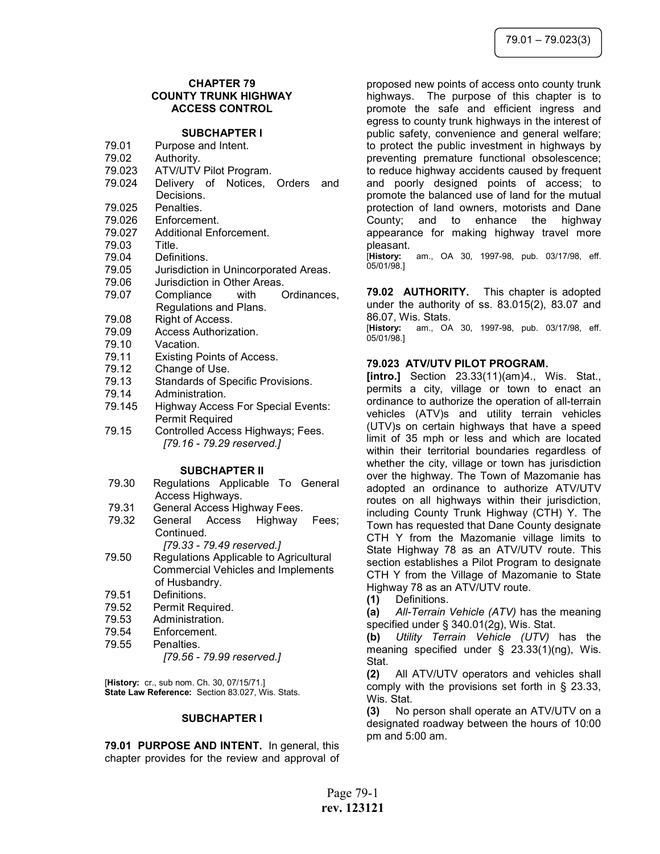# CHAPTER 79 COUNTY TRUNK HIGHWAY ACCESS CONTROL

## SUBCHAPTER I

- 79.01 Purpose and Intent.
- 79.02 Authority.
- 79.023 ATV/UTV Pilot Program.
- 79.024 Delivery of Notices, Orders and Decisions.
- 79.025 Penalties.
- 79.026 Enforcement.
- 79.027 Additional Enforcement.
- 79.03 Title.
- 79.04 Definitions.
- 79.05 Jurisdiction in Unincorporated Areas.
- 79.06 Jurisdiction in Other Areas.
- 79.07 Compliance with Ordinances, Regulations and Plans.
- 79.08 Right of Access.
- 79.09 Access Authorization.
- 79.10 Vacation.
- 79.11 Existing Points of Access.
- 79.12 Change of Use.
- 79.13 Standards of Specific Provisions.
- 79.14 Administration.
- 79.145 Highway Access For Special Events: Permit Required
- 79.15 Controlled Access Highways; Fees. [79.16 - 79.29 reserved.]

### SUBCHAPTER II

- 79.30 Regulations Applicable To General Access Highways.
- 79.31 General Access Highway Fees.
- 79.32 General Access Highway Fees; Continued.
	- [79.33 79.49 reserved.]
- 79.50 Regulations Applicable to Agricultural Commercial Vehicles and Implements of Husbandry.
- 79.51 Definitions.
- 79.52 Permit Required.
- 79.53 Administration.
- 79.54 Enforcement.
- 79.55 Penalties.
	- [79.56 79.99 reserved.]

[History: cr., sub nom. Ch. 30, 07/15/71.] State Law Reference: Section 83.027, Wis. Stats.

### SUBCHAPTER I

79.01 PURPOSE AND INTENT. In general, this chapter provides for the review and approval of proposed new points of access onto county trunk highways. The purpose of this chapter is to promote the safe and efficient ingress and egress to county trunk highways in the interest of public safety, convenience and general welfare; to protect the public investment in highways by preventing premature functional obsolescence; to reduce highway accidents caused by frequent and poorly designed points of access; to promote the balanced use of land for the mutual protection of land owners, motorists and Dane County; and to enhance the highway appearance for making highway travel more

pleasant.<br>[History: am., OA 30, 1997-98, pub. 03/17/98, eff. 05/01/98.]

79.02 AUTHORITY. This chapter is adopted under the authority of ss. 83.015(2), 83.07 and 86.07, Wis. Stats.

[History: am., OA 30, 1997-98, pub. 03/17/98, eff. 05/01/98.]

### 79.023 ATV/UTV PILOT PROGRAM.

[intro.] Section 23.33(11)(am)4., Wis. Stat., permits a city, village or town to enact an ordinance to authorize the operation of all-terrain vehicles (ATV)s and utility terrain vehicles (UTV)s on certain highways that have a speed limit of 35 mph or less and which are located within their territorial boundaries regardless of whether the city, village or town has jurisdiction over the highway. The Town of Mazomanie has adopted an ordinance to authorize ATV/UTV routes on all highways within their jurisdiction, including County Trunk Highway (CTH) Y. The Town has requested that Dane County designate CTH Y from the Mazomanie village limits to State Highway 78 as an ATV/UTV route. This section establishes a Pilot Program to designate CTH Y from the Village of Mazomanie to State Highway 78 as an ATV/UTV route.

(1) Definitions.

(a) All-Terrain Vehicle (ATV) has the meaning specified under § 340.01(2g), Wis. Stat.

(b) Utility Terrain Vehicle (UTV) has the meaning specified under § 23.33(1)(ng), Wis. Stat.

(2) All ATV/UTV operators and vehicles shall comply with the provisions set forth in § 23.33, Wis. Stat.

(3) No person shall operate an ATV/UTV on a designated roadway between the hours of 10:00 pm and 5:00 am.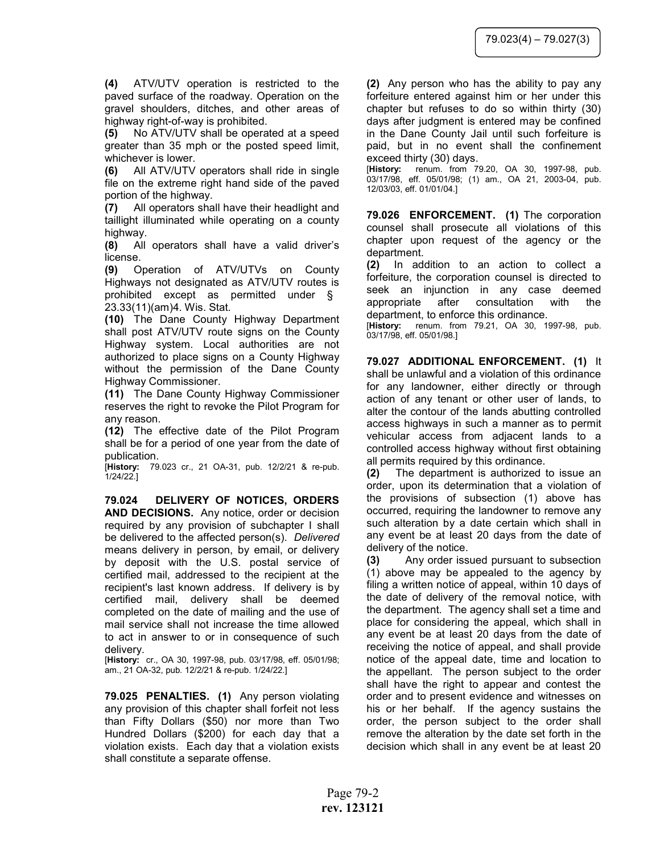(4) ATV/UTV operation is restricted to the paved surface of the roadway. Operation on the gravel shoulders, ditches, and other areas of highway right-of-way is prohibited.

(5) No ATV/UTV shall be operated at a speed greater than 35 mph or the posted speed limit, whichever is lower.

(6) All ATV/UTV operators shall ride in single file on the extreme right hand side of the paved portion of the highway.

(7) All operators shall have their headlight and taillight illuminated while operating on a county highway.

(8) All operators shall have a valid driver's license.

(9) Operation of ATV/UTVs on County Highways not designated as ATV/UTV routes is prohibited except as permitted under § 23.33(11)(am)4. Wis. Stat.

(10) The Dane County Highway Department shall post ATV/UTV route signs on the County Highway system. Local authorities are not authorized to place signs on a County Highway without the permission of the Dane County Highway Commissioner.

(11) The Dane County Highway Commissioner reserves the right to revoke the Pilot Program for any reason.

(12) The effective date of the Pilot Program shall be for a period of one year from the date of publication.

[History: 79.023 cr., 21 OA-31, pub. 12/2/21 & re-pub. 1/24/22.]

79.024 DELIVERY OF NOTICES, ORDERS AND DECISIONS. Any notice, order or decision required by any provision of subchapter I shall be delivered to the affected person(s). Delivered means delivery in person, by email, or delivery by deposit with the U.S. postal service of certified mail, addressed to the recipient at the recipient's last known address. If delivery is by certified mail, delivery shall be deemed completed on the date of mailing and the use of mail service shall not increase the time allowed to act in answer to or in consequence of such delivery.

[History: cr., OA 30, 1997-98, pub. 03/17/98, eff. 05/01/98; am., 21 OA-32, pub. 12/2/21 & re-pub. 1/24/22.]

79.025 PENALTIES. (1) Any person violating any provision of this chapter shall forfeit not less than Fifty Dollars (\$50) nor more than Two Hundred Dollars (\$200) for each day that a violation exists. Each day that a violation exists shall constitute a separate offense.

(2) Any person who has the ability to pay any forfeiture entered against him or her under this chapter but refuses to do so within thirty (30) days after judgment is entered may be confined in the Dane County Jail until such forfeiture is paid, but in no event shall the confinement exceed thirty (30) days.

[History: renum. from 79.20, OA 30, 1997-98, pub. 03/17/98, eff. 05/01/98; (1) am., OA 21, 2003-04, pub. 12/03/03, eff. 01/01/04.]

79.026 ENFORCEMENT. (1) The corporation counsel shall prosecute all violations of this chapter upon request of the agency or the department.

(2) In addition to an action to collect a forfeiture, the corporation counsel is directed to seek an injunction in any case deemed appropriate after consultation with the department, to enforce this ordinance.

[History: renum. from 79.21, OA 30, 1997-98, pub. 03/17/98, eff. 05/01/98.]

79.027 ADDITIONAL ENFORCEMENT. (1) It shall be unlawful and a violation of this ordinance for any landowner, either directly or through action of any tenant or other user of lands, to alter the contour of the lands abutting controlled access highways in such a manner as to permit vehicular access from adjacent lands to a controlled access highway without first obtaining all permits required by this ordinance.

(2) The department is authorized to issue an order, upon its determination that a violation of the provisions of subsection (1) above has occurred, requiring the landowner to remove any such alteration by a date certain which shall in any event be at least 20 days from the date of delivery of the notice.

(3) Any order issued pursuant to subsection (1) above may be appealed to the agency by filing a written notice of appeal, within 10 days of the date of delivery of the removal notice, with the department. The agency shall set a time and place for considering the appeal, which shall in any event be at least 20 days from the date of receiving the notice of appeal, and shall provide notice of the appeal date, time and location to the appellant. The person subject to the order shall have the right to appear and contest the order and to present evidence and witnesses on his or her behalf. If the agency sustains the order, the person subject to the order shall remove the alteration by the date set forth in the decision which shall in any event be at least 20

Page 79-2 rev. 123121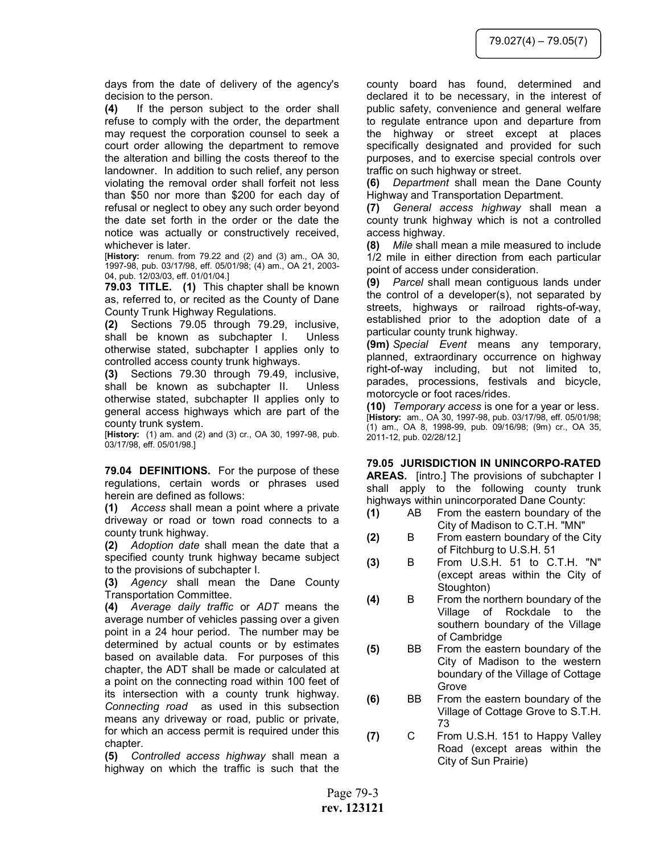days from the date of delivery of the agency's decision to the person.

(4) If the person subject to the order shall refuse to comply with the order, the department may request the corporation counsel to seek a court order allowing the department to remove the alteration and billing the costs thereof to the landowner. In addition to such relief, any person violating the removal order shall forfeit not less than \$50 nor more than \$200 for each day of refusal or neglect to obey any such order beyond the date set forth in the order or the date the notice was actually or constructively received, whichever is later.

[History: renum. from 79.22 and (2) and (3) am., OA 30, 1997-98, pub. 03/17/98, eff. 05/01/98; (4) am., OA 21, 2003- 04, pub. 12/03/03, eff. 01/01/04.]

79.03 TITLE. (1) This chapter shall be known as, referred to, or recited as the County of Dane County Trunk Highway Regulations.

(2) Sections 79.05 through 79.29, inclusive, shall be known as subchapter I. Unless otherwise stated, subchapter I applies only to controlled access county trunk highways.

(3) Sections 79.30 through 79.49, inclusive, shall be known as subchapter II. Unless otherwise stated, subchapter II applies only to general access highways which are part of the county trunk system.

[History: (1) am. and (2) and (3) cr., OA 30, 1997-98, pub. 03/17/98, eff. 05/01/98.]

79.04 DEFINITIONS. For the purpose of these regulations, certain words or phrases used herein are defined as follows:

(1) Access shall mean a point where a private driveway or road or town road connects to a county trunk highway.

(2) Adoption date shall mean the date that a specified county trunk highway became subject to the provisions of subchapter I.

(3) Agency shall mean the Dane County Transportation Committee.

(4) Average daily traffic or ADT means the average number of vehicles passing over a given point in a 24 hour period. The number may be determined by actual counts or by estimates based on available data. For purposes of this chapter, the ADT shall be made or calculated at a point on the connecting road within 100 feet of its intersection with a county trunk highway. Connecting road as used in this subsection means any driveway or road, public or private, for which an access permit is required under this chapter.

(5) Controlled access highway shall mean a highway on which the traffic is such that the county board has found, determined and declared it to be necessary, in the interest of public safety, convenience and general welfare to regulate entrance upon and departure from the highway or street except at places specifically designated and provided for such purposes, and to exercise special controls over traffic on such highway or street.

(6) Department shall mean the Dane County Highway and Transportation Department.

(7) General access highway shall mean a county trunk highway which is not a controlled access highway.

(8) Mile shall mean a mile measured to include 1/2 mile in either direction from each particular point of access under consideration.

(9) Parcel shall mean contiguous lands under the control of a developer(s), not separated by streets, highways or railroad rights-of-way, established prior to the adoption date of a particular county trunk highway.

(9m) Special Event means any temporary, planned, extraordinary occurrence on highway right-of-way including, but not limited to, parades, processions, festivals and bicycle, motorcycle or foot races/rides.

(10) Temporary access is one for a year or less. [History: am., OA 30, 1997-98, pub. 03/17/98, eff. 05/01/98; (1) am., OA 8, 1998-99, pub. 09/16/98; (9m) cr., OA 35, 2011-12, pub. 02/28/12.]

79.05 JURISDICTION IN UNINCORPO-RATED

AREAS. [intro.] The provisions of subchapter I shall apply to the following county trunk highways within unincorporated Dane County:

- (1) AB From the eastern boundary of the City of Madison to C.T.H. "MN"
- (2) B From eastern boundary of the City of Fitchburg to U.S.H. 51
- (3) B From U.S.H. 51 to C.T.H. "N" (except areas within the City of Stoughton)
- (4) B From the northern boundary of the Village of Rockdale to the southern boundary of the Village of Cambridge
- (5) BB From the eastern boundary of the City of Madison to the western boundary of the Village of Cottage Grove
- (6) BB From the eastern boundary of the Village of Cottage Grove to S.T.H. 73
- (7) C From U.S.H. 151 to Happy Valley Road (except areas within the City of Sun Prairie)

Page 79-3 rev. 123121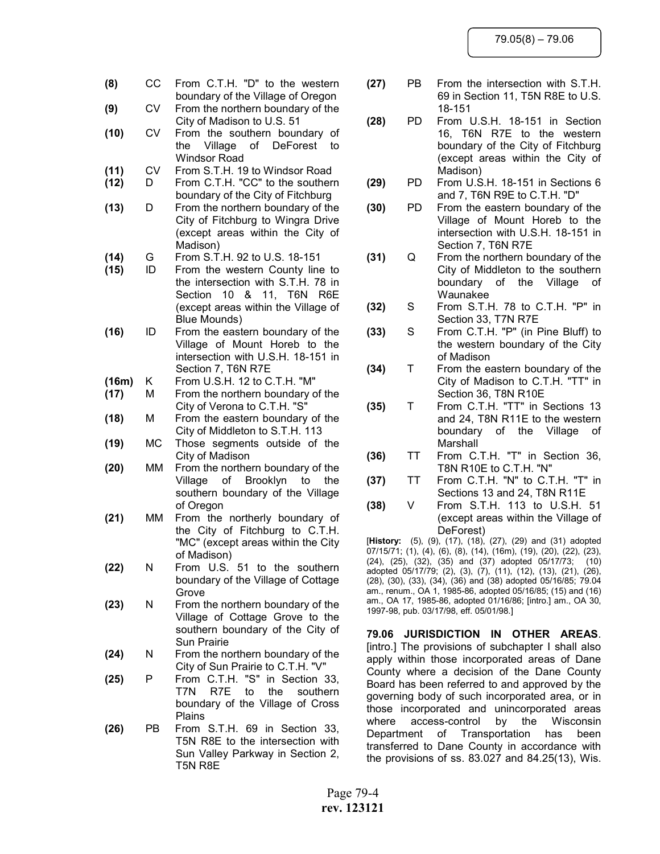- (8) CC From C.T.H. "D" to the western boundary of the Village of Oregon (9) CV From the northern boundary of the City of Madison to U.S. 51 (10) CV From the southern boundary of the Village of DeForest to Windsor Road (11) CV From S.T.H. 19 to Windsor Road (12) D From C.T.H. "CC" to the southern boundary of the City of Fitchburg (13) D From the northern boundary of the City of Fitchburg to Wingra Drive (except areas within the City of Madison) (14) G From S.T.H. 92 to U.S. 18-151 (15) ID From the western County line to the intersection with S.T.H. 78 in Section 10 & 11, T6N R6E (except areas within the Village of Blue Mounds) (16) ID From the eastern boundary of the Village of Mount Horeb to the intersection with U.S.H. 18-151 in Section 7, T6N R7E (16m) K From U.S.H. 12 to C.T.H. "M" (17) M From the northern boundary of the City of Verona to C.T.H. "S" (18) M From the eastern boundary of the City of Middleton to S.T.H. 113 (19) MC Those segments outside of the City of Madison (20) MM From the northern boundary of the Village of Brooklyn to the southern boundary of the Village of Oregon
- (21) MM From the northerly boundary of the City of Fitchburg to C.T.H. "MC" (except areas within the City of Madison)
- (22) N From U.S. 51 to the southern boundary of the Village of Cottage Grove
- (23) N From the northern boundary of the Village of Cottage Grove to the southern boundary of the City of Sun Prairie
- (24) N From the northern boundary of the City of Sun Prairie to C.T.H. "V"
- (25) P From C.T.H. "S" in Section 33, T7N R7E to the southern boundary of the Village of Cross Plains
- (26) PB From S.T.H. 69 in Section 33, T5N R8E to the intersection with Sun Valley Parkway in Section 2, T5N R8E
- (27) PB From the intersection with S.T.H. 69 in Section 11, T5N R8E to U.S. 18-151
- (28) PD From U.S.H. 18-151 in Section 16, T6N R7E to the western boundary of the City of Fitchburg (except areas within the City of Madison)
- (29) PD From U.S.H. 18-151 in Sections 6 and 7, T6N R9E to C.T.H. "D"
- (30) PD From the eastern boundary of the Village of Mount Horeb to the intersection with U.S.H. 18-151 in Section 7, T6N R7E
- (31) Q From the northern boundary of the City of Middleton to the southern boundary of the Village of Waunakee
- (32) S From S.T.H. 78 to C.T.H. "P" in Section 33, T7N R7E
- (33) S From C.T.H. "P" (in Pine Bluff) to the western boundary of the City of Madison
- (34) T From the eastern boundary of the City of Madison to C.T.H. "TT" in Section 36, T8N R10E
- (35) T From C.T.H. "TT" in Sections 13 and 24, T8N R11E to the western boundary of the Village of Marshall
- (36) TT From C.T.H. "T" in Section 36, T8N R10E to C.T.H. "N"
- (37) TT From C.T.H. "N" to C.T.H. "T" in Sections 13 and 24, T8N R11E
- (38) V From S.T.H. 113 to U.S.H. 51 (except areas within the Village of DeForest)

[History: (5), (9), (17), (18), (27), (29) and (31) adopted 07/15/71; (1), (4), (6), (8), (14), (16m), (19), (20), (22), (23), (24), (25), (32), (35) and (37) adopted 05/17/73; (10) adopted 05/17/79; (2), (3), (7), (11), (12), (13), (21), (26), (28), (30), (33), (34), (36) and (38) adopted 05/16/85; 79.04 am., renum., OA 1, 1985-86, adopted 05/16/85; (15) and (16) am., OA 17, 1985-86, adopted 01/16/86; [intro.] am., OA 30, 1997-98, pub. 03/17/98, eff. 05/01/98.]

79.06 JURISDICTION IN OTHER AREAS. [intro.] The provisions of subchapter I shall also apply within those incorporated areas of Dane County where a decision of the Dane County Board has been referred to and approved by the governing body of such incorporated area, or in those incorporated and unincorporated areas where access-control by the Wisconsin Department of Transportation has been transferred to Dane County in accordance with the provisions of ss. 83.027 and 84.25(13), Wis.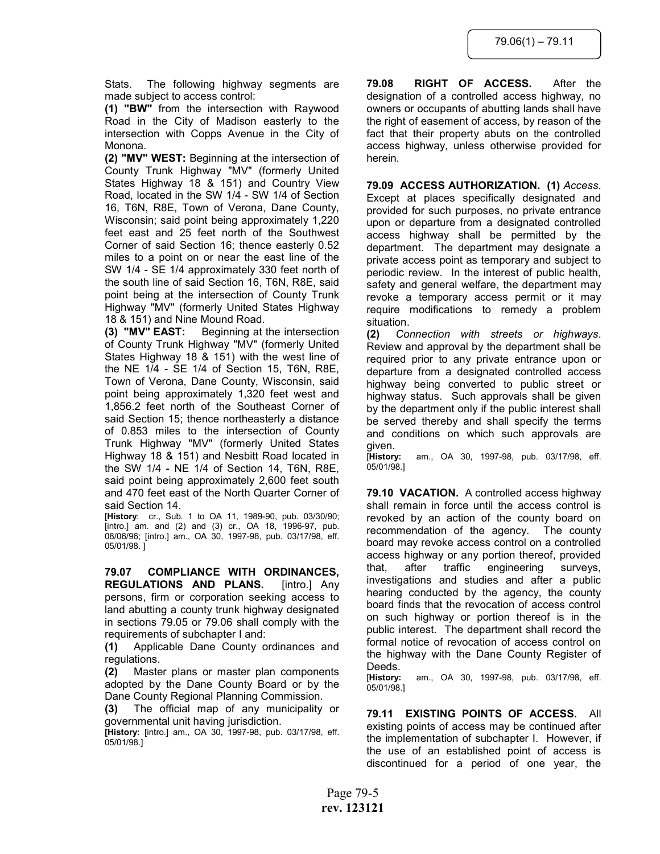Stats. The following highway segments are made subject to access control:

(1) "BW" from the intersection with Raywood Road in the City of Madison easterly to the intersection with Copps Avenue in the City of Monona.

(2) "MV" WEST: Beginning at the intersection of County Trunk Highway "MV" (formerly United States Highway 18 & 151) and Country View Road, located in the SW 1/4 - SW 1/4 of Section 16, T6N, R8E, Town of Verona, Dane County, Wisconsin; said point being approximately 1,220 feet east and 25 feet north of the Southwest Corner of said Section 16; thence easterly 0.52 miles to a point on or near the east line of the SW 1/4 - SE 1/4 approximately 330 feet north of the south line of said Section 16, T6N, R8E, said point being at the intersection of County Trunk Highway "MV" (formerly United States Highway 18 & 151) and Nine Mound Road.

(3) "MV" EAST: Beginning at the intersection of County Trunk Highway "MV" (formerly United States Highway 18 & 151) with the west line of the NE 1/4 - SE 1/4 of Section 15, T6N, R8E, Town of Verona, Dane County, Wisconsin, said point being approximately 1,320 feet west and 1,856.2 feet north of the Southeast Corner of said Section 15; thence northeasterly a distance of 0.853 miles to the intersection of County Trunk Highway "MV" (formerly United States Highway 18 & 151) and Nesbitt Road located in the SW 1/4 - NE 1/4 of Section 14, T6N, R8E, said point being approximately 2,600 feet south and 470 feet east of the North Quarter Corner of said Section 14.

[History: cr., Sub. 1 to OA 11, 1989-90, pub. 03/30/90; [intro.] am. and (2) and (3) cr., OA 18, 1996-97, pub. 08/06/96; [intro.] am., OA 30, 1997-98, pub. 03/17/98, eff. 05/01/98. ]

79.07 COMPLIANCE WITH ORDINANCES, REGULATIONS AND PLANS. [intro.] Any persons, firm or corporation seeking access to land abutting a county trunk highway designated in sections 79.05 or 79.06 shall comply with the requirements of subchapter I and:

(1) Applicable Dane County ordinances and regulations.

(2) Master plans or master plan components adopted by the Dane County Board or by the Dane County Regional Planning Commission.

(3) The official map of any municipality or governmental unit having jurisdiction.

[History: [intro.] am., OA 30, 1997-98, pub. 03/17/98, eff. 05/01/98.]

79.08 RIGHT OF ACCESS. After the designation of a controlled access highway, no owners or occupants of abutting lands shall have the right of easement of access, by reason of the fact that their property abuts on the controlled access highway, unless otherwise provided for herein.

79.09 ACCESS AUTHORIZATION. (1) Access. Except at places specifically designated and provided for such purposes, no private entrance upon or departure from a designated controlled access highway shall be permitted by the department. The department may designate a private access point as temporary and subject to periodic review. In the interest of public health, safety and general welfare, the department may revoke a temporary access permit or it may require modifications to remedy a problem situation.

(2) Connection with streets or highways. Review and approval by the department shall be required prior to any private entrance upon or departure from a designated controlled access highway being converted to public street or highway status. Such approvals shall be given by the department only if the public interest shall be served thereby and shall specify the terms and conditions on which such approvals are given.

[History: am., OA 30, 1997-98, pub. 03/17/98, eff. 05/01/98.]

79.10 VACATION. A controlled access highway shall remain in force until the access control is revoked by an action of the county board on recommendation of the agency. The county board may revoke access control on a controlled access highway or any portion thereof, provided that, after traffic engineering surveys, investigations and studies and after a public hearing conducted by the agency, the county board finds that the revocation of access control on such highway or portion thereof is in the public interest. The department shall record the formal notice of revocation of access control on the highway with the Dane County Register of

Deeds.<br>[History: am., OA 30, 1997-98, pub. 03/17/98, eff. 05/01/98.]

79.11 EXISTING POINTS OF ACCESS. All existing points of access may be continued after the implementation of subchapter I. However, if the use of an established point of access is discontinued for a period of one year, the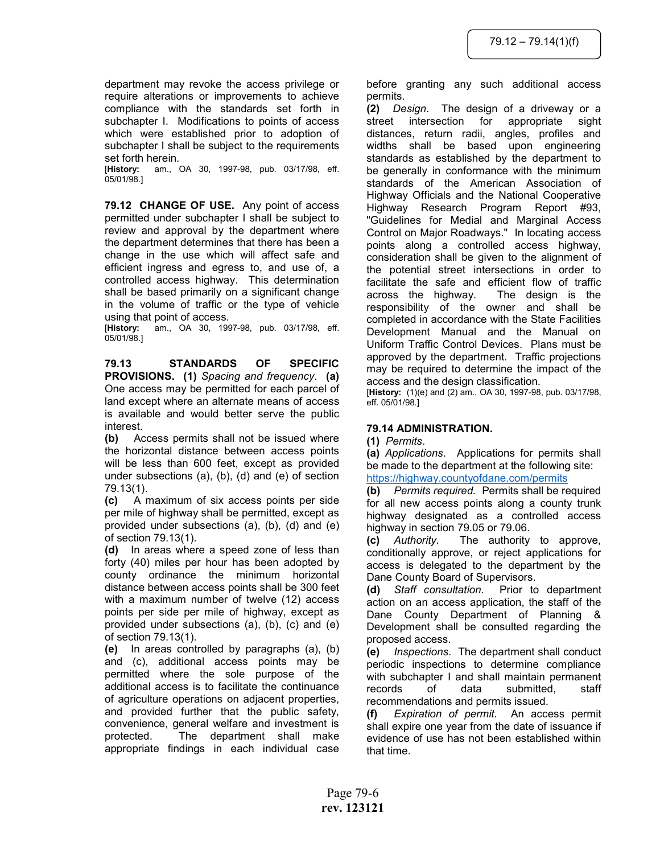department may revoke the access privilege or require alterations or improvements to achieve compliance with the standards set forth in subchapter I. Modifications to points of access which were established prior to adoption of subchapter I shall be subject to the requirements set forth herein.

[History: am., OA 30, 1997-98, pub. 03/17/98, eff. 05/01/98.]

79.12 CHANGE OF USE. Any point of access permitted under subchapter I shall be subject to review and approval by the department where the department determines that there has been a change in the use which will affect safe and efficient ingress and egress to, and use of, a controlled access highway. This determination shall be based primarily on a significant change in the volume of traffic or the type of vehicle using that point of access.

[History: am., OA 30, 1997-98, pub. 03/17/98, eff. 05/01/98.]

79.13 STANDARDS OF SPECIFIC PROVISIONS. (1) Spacing and frequency. (a) One access may be permitted for each parcel of land except where an alternate means of access is available and would better serve the public interest.

(b) Access permits shall not be issued where the horizontal distance between access points will be less than 600 feet, except as provided under subsections (a), (b), (d) and (e) of section 79.13(1).

(c) A maximum of six access points per side per mile of highway shall be permitted, except as provided under subsections (a), (b), (d) and (e) of section 79.13(1).

(d) In areas where a speed zone of less than forty (40) miles per hour has been adopted by county ordinance the minimum horizontal distance between access points shall be 300 feet with a maximum number of twelve (12) access points per side per mile of highway, except as provided under subsections (a), (b), (c) and (e) of section 79.13(1).

(e) In areas controlled by paragraphs (a), (b) and (c), additional access points may be permitted where the sole purpose of the additional access is to facilitate the continuance of agriculture operations on adjacent properties, and provided further that the public safety, convenience, general welfare and investment is protected. The department shall make appropriate findings in each individual case before granting any such additional access permits.

(2) Design. The design of a driveway or a street intersection for appropriate sight distances, return radii, angles, profiles and widths shall be based upon engineering standards as established by the department to be generally in conformance with the minimum standards of the American Association of Highway Officials and the National Cooperative Highway Research Program Report #93, "Guidelines for Medial and Marginal Access Control on Major Roadways." In locating access points along a controlled access highway, consideration shall be given to the alignment of the potential street intersections in order to facilitate the safe and efficient flow of traffic across the highway. The design is the responsibility of the owner and shall be completed in accordance with the State Facilities Development Manual and the Manual on Uniform Traffic Control Devices. Plans must be approved by the department. Traffic projections may be required to determine the impact of the access and the design classification.

[History: (1)(e) and (2) am., OA 30, 1997-98, pub. 03/17/98, eff. 05/01/98.]

# 79.14 ADMINISTRATION.

# (1) Permits.

(a) Applications. Applications for permits shall be made to the department at the following site: https://highway.countyofdane.com/permits

(b) Permits required. Permits shall be required for all new access points along a county trunk highway designated as a controlled access highway in section 79.05 or 79.06.

(c) Authority. The authority to approve, conditionally approve, or reject applications for access is delegated to the department by the Dane County Board of Supervisors.

(d) Staff consultation. Prior to department action on an access application, the staff of the Dane County Department of Planning & Development shall be consulted regarding the proposed access.

(e) Inspections. The department shall conduct periodic inspections to determine compliance with subchapter I and shall maintain permanent records of data submitted, staff recommendations and permits issued.

(f) Expiration of permit. An access permit shall expire one year from the date of issuance if evidence of use has not been established within that time.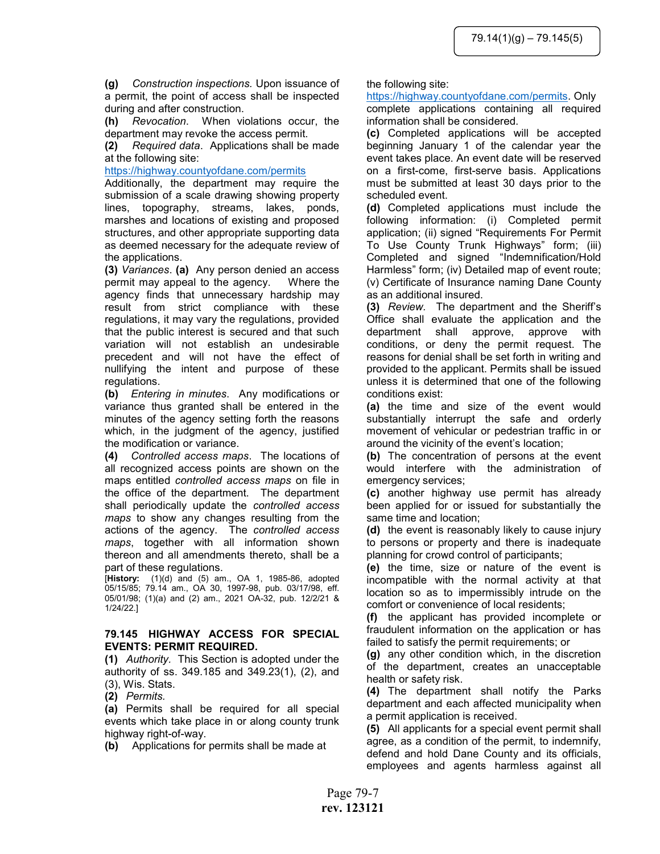(g) Construction inspections. Upon issuance of a permit, the point of access shall be inspected during and after construction.

(h) Revocation. When violations occur, the department may revoke the access permit.

(2) Required data. Applications shall be made at the following site:

## https://highway.countyofdane.com/permits

Additionally, the department may require the submission of a scale drawing showing property lines, topography, streams, lakes, ponds, marshes and locations of existing and proposed structures, and other appropriate supporting data as deemed necessary for the adequate review of the applications.

(3) Variances. (a) Any person denied an access permit may appeal to the agency. Where the agency finds that unnecessary hardship may result from strict compliance with these regulations, it may vary the regulations, provided that the public interest is secured and that such variation will not establish an undesirable precedent and will not have the effect of nullifying the intent and purpose of these regulations.

(b) Entering in minutes. Any modifications or variance thus granted shall be entered in the minutes of the agency setting forth the reasons which, in the judgment of the agency, justified the modification or variance.

(4) Controlled access maps. The locations of all recognized access points are shown on the maps entitled controlled access maps on file in the office of the department. The department shall periodically update the controlled access maps to show any changes resulting from the actions of the agency. The controlled access maps, together with all information shown thereon and all amendments thereto, shall be a part of these regulations.

[History: (1)(d) and (5) am., OA 1, 1985-86, adopted 05/15/85; 79.14 am., OA 30, 1997-98, pub. 03/17/98, eff. 05/01/98; (1)(a) and (2) am., 2021 OA-32, pub. 12/2/21 & 1/24/22.]

# 79.145 HIGHWAY ACCESS FOR SPECIAL EVENTS: PERMIT REQUIRED.

(1) Authority. This Section is adopted under the authority of ss. 349.185 and 349.23(1), (2), and (3), Wis. Stats.

(2) Permits.

(a) Permits shall be required for all special events which take place in or along county trunk highway right-of-way.

(b) Applications for permits shall be made at

### the following site:

https://highway.countyofdane.com/permits. Only complete applications containing all required information shall be considered.

(c) Completed applications will be accepted beginning January 1 of the calendar year the event takes place. An event date will be reserved on a first-come, first-serve basis. Applications must be submitted at least 30 days prior to the scheduled event.

(d) Completed applications must include the following information: (i) Completed permit application; (ii) signed "Requirements For Permit To Use County Trunk Highways" form; (iii) Completed and signed "Indemnification/Hold Harmless" form; (iv) Detailed map of event route; (v) Certificate of Insurance naming Dane County as an additional insured.

(3) Review. The department and the Sheriff's Office shall evaluate the application and the department shall approve, approve with conditions, or deny the permit request. The reasons for denial shall be set forth in writing and provided to the applicant. Permits shall be issued unless it is determined that one of the following conditions exist:

(a) the time and size of the event would substantially interrupt the safe and orderly movement of vehicular or pedestrian traffic in or around the vicinity of the event's location;

(b) The concentration of persons at the event would interfere with the administration of emergency services;

(c) another highway use permit has already been applied for or issued for substantially the same time and location;

(d) the event is reasonably likely to cause injury to persons or property and there is inadequate planning for crowd control of participants;

(e) the time, size or nature of the event is incompatible with the normal activity at that location so as to impermissibly intrude on the comfort or convenience of local residents;

(f) the applicant has provided incomplete or fraudulent information on the application or has failed to satisfy the permit requirements; or

(g) any other condition which, in the discretion of the department, creates an unacceptable health or safety risk.

(4) The department shall notify the Parks department and each affected municipality when a permit application is received.

(5) All applicants for a special event permit shall agree, as a condition of the permit, to indemnify, defend and hold Dane County and its officials, employees and agents harmless against all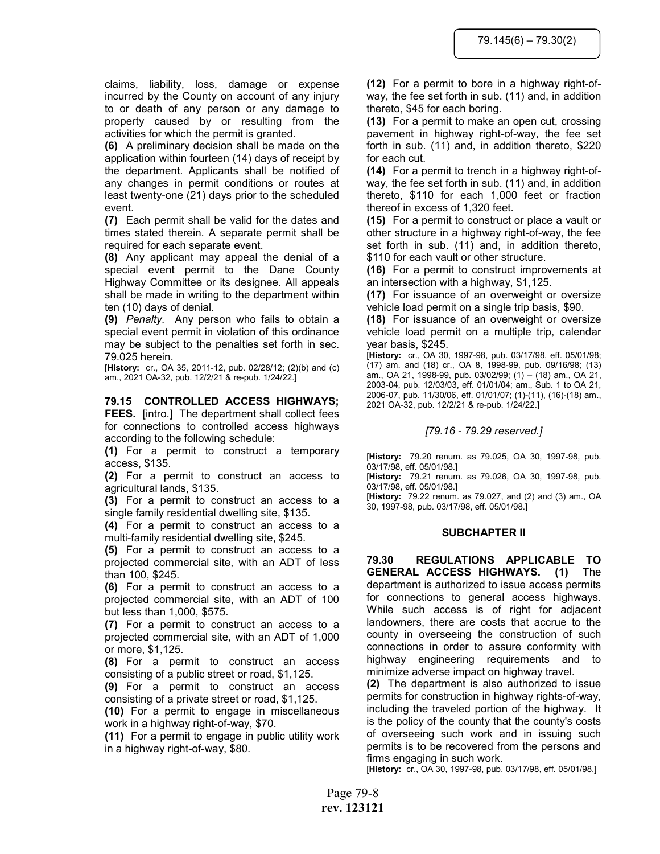claims, liability, loss, damage or expense incurred by the County on account of any injury to or death of any person or any damage to property caused by or resulting from the activities for which the permit is granted.

(6) A preliminary decision shall be made on the application within fourteen (14) days of receipt by the department. Applicants shall be notified of any changes in permit conditions or routes at least twenty-one (21) days prior to the scheduled event.

(7) Each permit shall be valid for the dates and times stated therein. A separate permit shall be required for each separate event.

(8) Any applicant may appeal the denial of a special event permit to the Dane County Highway Committee or its designee. All appeals shall be made in writing to the department within ten (10) days of denial.

(9) Penalty. Any person who fails to obtain a special event permit in violation of this ordinance may be subject to the penalties set forth in sec. 79.025 herein.

[History: cr., OA 35, 2011-12, pub. 02/28/12; (2)(b) and (c) am., 2021 OA-32, pub. 12/2/21 & re-pub. 1/24/22.]

## 79.15 CONTROLLED ACCESS HIGHWAYS;

FEES. [intro.] The department shall collect fees for connections to controlled access highways according to the following schedule:

(1) For a permit to construct a temporary access, \$135.

(2) For a permit to construct an access to agricultural lands, \$135.

(3) For a permit to construct an access to a single family residential dwelling site, \$135.

(4) For a permit to construct an access to a multi-family residential dwelling site, \$245.

(5) For a permit to construct an access to a projected commercial site, with an ADT of less than 100, \$245.

(6) For a permit to construct an access to a projected commercial site, with an ADT of 100 but less than 1,000, \$575.

(7) For a permit to construct an access to a projected commercial site, with an ADT of 1,000 or more, \$1,125.

(8) For a permit to construct an access consisting of a public street or road, \$1,125.

(9) For a permit to construct an access consisting of a private street or road, \$1,125.

(10) For a permit to engage in miscellaneous work in a highway right-of-way, \$70.

(11) For a permit to engage in public utility work in a highway right-of-way, \$80.

(12) For a permit to bore in a highway right-ofway, the fee set forth in sub. (11) and, in addition thereto, \$45 for each boring.

(13) For a permit to make an open cut, crossing pavement in highway right-of-way, the fee set forth in sub. (11) and, in addition thereto, \$220 for each cut.

(14) For a permit to trench in a highway right-ofway, the fee set forth in sub. (11) and, in addition thereto, \$110 for each 1,000 feet or fraction thereof in excess of 1,320 feet.

(15) For a permit to construct or place a vault or other structure in a highway right-of-way, the fee set forth in sub. (11) and, in addition thereto, \$110 for each vault or other structure.

(16) For a permit to construct improvements at an intersection with a highway, \$1,125.

(17) For issuance of an overweight or oversize vehicle load permit on a single trip basis, \$90.

(18) For issuance of an overweight or oversize vehicle load permit on a multiple trip, calendar year basis, \$245.

[History: cr., OA 30, 1997-98, pub. 03/17/98, eff. 05/01/98; (17) am. and (18) cr., OA 8, 1998-99, pub. 09/16/98; (13) am., OA 21, 1998-99, pub. 03/02/99; (1) – (18) am., OA 21, 2003-04, pub. 12/03/03, eff. 01/01/04; am., Sub. 1 to OA 21, 2006-07, pub. 11/30/06, eff. 01/01/07; (1)-(11), (16)-(18) am., 2021 OA-32, pub. 12/2/21 & re-pub. 1/24/22.]

### [79.16 - 79.29 reserved.]

[History: 79.20 renum. as 79.025, OA 30, 1997-98, pub. 03/17/98, eff. 05/01/98.]

[History: 79.21 renum. as 79.026, OA 30, 1997-98, pub. 03/17/98, eff. 05/01/98.]

[History: 79.22 renum. as 79.027, and (2) and (3) am., OA 30, 1997-98, pub. 03/17/98, eff. 05/01/98.]

#### SUBCHAPTER II

79.30 REGULATIONS APPLICABLE TO GENERAL ACCESS HIGHWAYS. (1) The department is authorized to issue access permits for connections to general access highways. While such access is of right for adjacent landowners, there are costs that accrue to the county in overseeing the construction of such connections in order to assure conformity with highway engineering requirements and to minimize adverse impact on highway travel.

(2) The department is also authorized to issue permits for construction in highway rights-of-way, including the traveled portion of the highway. It is the policy of the county that the county's costs of overseeing such work and in issuing such permits is to be recovered from the persons and firms engaging in such work.

[History: cr., OA 30, 1997-98, pub. 03/17/98, eff. 05/01/98.]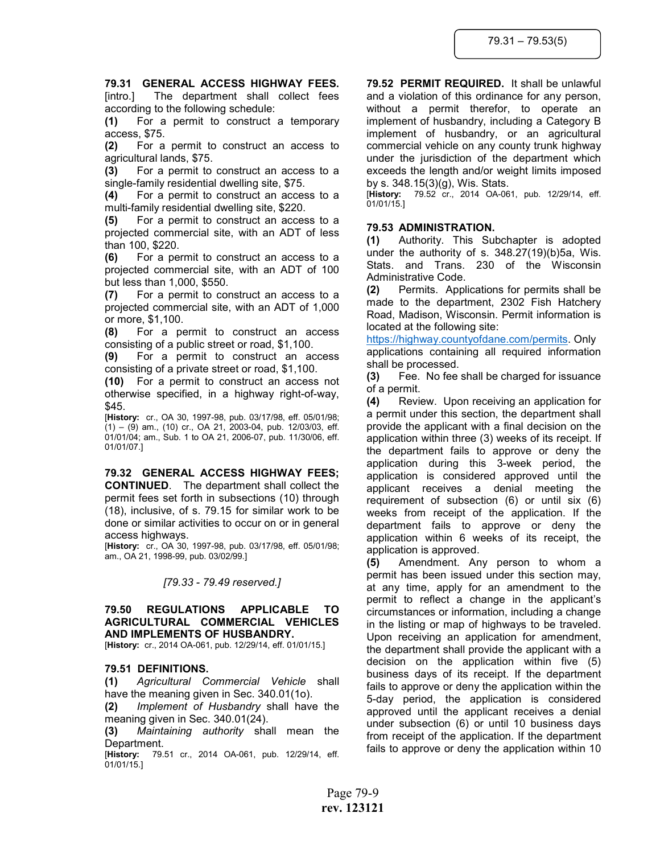# 79.31 GENERAL ACCESS HIGHWAY FEES.

[intro.] The department shall collect fees according to the following schedule:

(1) For a permit to construct a temporary access, \$75.

(2) For a permit to construct an access to agricultural lands, \$75.

(3) For a permit to construct an access to a single-family residential dwelling site, \$75.

(4) For a permit to construct an access to a multi-family residential dwelling site, \$220.

(5) For a permit to construct an access to a projected commercial site, with an ADT of less than 100, \$220.

(6) For a permit to construct an access to a projected commercial site, with an ADT of 100 but less than 1,000, \$550.

(7) For a permit to construct an access to a projected commercial site, with an ADT of 1,000 or more, \$1,100.

(8) For a permit to construct an access consisting of a public street or road, \$1,100.

(9) For a permit to construct an access consisting of a private street or road, \$1,100.

(10) For a permit to construct an access not otherwise specified, in a highway right-of-way, \$45.

[History: cr., OA 30, 1997-98, pub. 03/17/98, eff. 05/01/98; (1) – (9) am., (10) cr., OA 21, 2003-04, pub. 12/03/03, eff. 01/01/04; am., Sub. 1 to OA 21, 2006-07, pub. 11/30/06, eff. 01/01/07.]

79.32 GENERAL ACCESS HIGHWAY FEES; CONTINUED. The department shall collect the permit fees set forth in subsections (10) through (18), inclusive, of s. 79.15 for similar work to be done or similar activities to occur on or in general access highways.

[History: cr., OA 30, 1997-98, pub. 03/17/98, eff. 05/01/98; am., OA 21, 1998-99, pub. 03/02/99.]

# [79.33 - 79.49 reserved.]

# 79.50 REGULATIONS APPLICABLE TO AGRICULTURAL COMMERCIAL VEHICLES AND IMPLEMENTS OF HUSBANDRY.

[History: cr., 2014 OA-061, pub. 12/29/14, eff. 01/01/15.]

# 79.51 DEFINITIONS.

(1) Agricultural Commercial Vehicle shall have the meaning given in Sec. 340.01(1o).

(2) Implement of Husbandry shall have the meaning given in Sec. 340.01(24).

(3) Maintaining authority shall mean the Department.

[History: 79.51 cr., 2014 OA-061, pub. 12/29/14, eff. 01/01/15.]

79.52 PERMIT REQUIRED. It shall be unlawful and a violation of this ordinance for any person, without a permit therefor, to operate an implement of husbandry, including a Category B implement of husbandry, or an agricultural commercial vehicle on any county trunk highway under the jurisdiction of the department which exceeds the length and/or weight limits imposed by s. 348.15(3)(g), Wis. Stats.

[History: 79.52 cr., 2014 OA-061, pub. 12/29/14, eff. 01/01/15.]

## 79.53 ADMINISTRATION.

(1) Authority. This Subchapter is adopted under the authority of s. 348.27(19)(b)5a, Wis. Stats. and Trans. 230 of the Wisconsin Administrative Code.

(2) Permits. Applications for permits shall be made to the department, 2302 Fish Hatchery Road, Madison, Wisconsin. Permit information is located at the following site:

https://highway.countyofdane.com/permits. Only applications containing all required information shall be processed.

(3) Fee. No fee shall be charged for issuance of a permit.

(4) Review. Upon receiving an application for a permit under this section, the department shall provide the applicant with a final decision on the application within three (3) weeks of its receipt. If the department fails to approve or deny the application during this 3-week period, the application is considered approved until the applicant receives a denial meeting the requirement of subsection (6) or until six (6) weeks from receipt of the application. If the department fails to approve or deny the application within 6 weeks of its receipt, the application is approved.

(5) Amendment. Any person to whom a permit has been issued under this section may, at any time, apply for an amendment to the permit to reflect a change in the applicant's circumstances or information, including a change in the listing or map of highways to be traveled. Upon receiving an application for amendment, the department shall provide the applicant with a decision on the application within five (5) business days of its receipt. If the department fails to approve or deny the application within the 5-day period, the application is considered approved until the applicant receives a denial under subsection (6) or until 10 business days from receipt of the application. If the department fails to approve or deny the application within 10